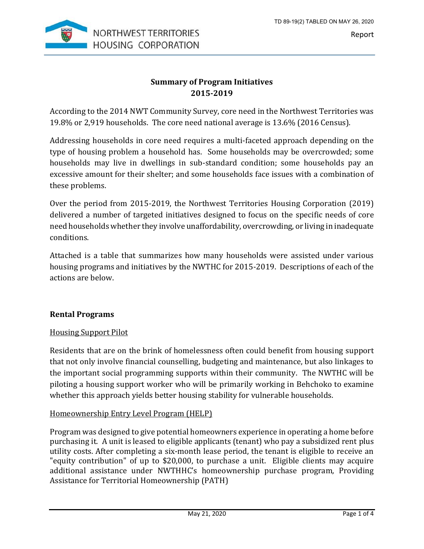

# **Summary of Program Initiatives 2015-2019**

According to the 2014 NWT Community Survey, core need in the Northwest Territories was 19.8% or 2,919 households. The core need national average is 13.6% (2016 Census).

Addressing households in core need requires a multi-faceted approach depending on the type of housing problem a household has. Some households may be overcrowded; some households may live in dwellings in sub-standard condition; some households pay an excessive amount for their shelter; and some households face issues with a combination of these problems.

Over the period from 2015-2019, the Northwest Territories Housing Corporation (2019) delivered a number of targeted initiatives designed to focus on the specific needs of core need households whether they involve unaffordability, overcrowding, or living in inadequate conditions.

Attached is a table that summarizes how many households were assisted under various housing programs and initiatives by the NWTHC for 2015-2019. Descriptions of each of the actions are below.

# **Rental Programs**

# Housing Support Pilot

Residents that are on the brink of homelessness often could benefit from housing support that not only involve financial counselling, budgeting and maintenance, but also linkages to the important social programming supports within their community. The NWTHC will be piloting a housing support worker who will be primarily working in Behchoko to examine whether this approach yields better housing stability for vulnerable households.

# Homeownership Entry Level Program (HELP)

Program was designed to give potential homeowners experience in operating a home before purchasing it. A unit is leased to eligible applicants (tenant) who pay a subsidized rent plus utility costs. After completing a six-month lease period, the tenant is eligible to receive an "equity contribution" of up to \$20,000, to purchase a unit. Eligible clients may acquire additional assistance under NWTHHC's homeownership purchase program, Providing Assistance for Territorial Homeownership (PATH)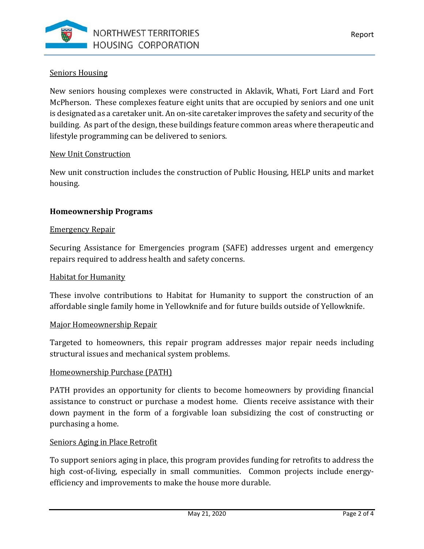

# Seniors Housing

New seniors housing complexes were constructed in Aklavik, Whati, Fort Liard and Fort McPherson. These complexes feature eight units that are occupied by seniors and one unit is designated as a caretaker unit. An on-site caretaker improves the safety and security of the building. As part of the design, these buildings feature common areas where therapeutic and lifestyle programming can be delivered to seniors.

### New Unit Construction

New unit construction includes the construction of Public Housing, HELP units and market housing.

## **Homeownership Programs**

### Emergency Repair

Securing Assistance for Emergencies program (SAFE) addresses urgent and emergency repairs required to address health and safety concerns.

#### Habitat for Humanity

These involve contributions to Habitat for Humanity to support the construction of an affordable single family home in Yellowknife and for future builds outside of Yellowknife.

#### Major Homeownership Repair

Targeted to homeowners, this repair program addresses major repair needs including structural issues and mechanical system problems.

## Homeownership Purchase (PATH)

PATH provides an opportunity for clients to become homeowners by providing financial assistance to construct or purchase a modest home. Clients receive assistance with their down payment in the form of a forgivable loan subsidizing the cost of constructing or purchasing a home.

## Seniors Aging in Place Retrofit

To support seniors aging in place, this program provides funding for retrofits to address the high cost-of-living, especially in small communities. Common projects include energyefficiency and improvements to make the house more durable.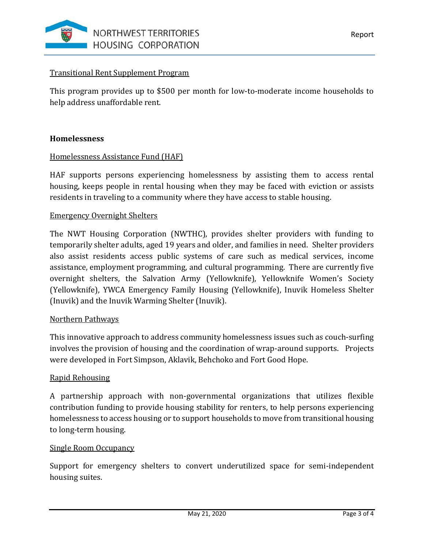

# Transitional Rent Supplement Program

This program provides up to \$500 per month for low-to-moderate income households to help address unaffordable rent.

## **Homelessness**

### Homelessness Assistance Fund (HAF)

HAF supports persons experiencing homelessness by assisting them to access rental housing, keeps people in rental housing when they may be faced with eviction or assists residents in traveling to a community where they have access to stable housing.

### Emergency Overnight Shelters

The NWT Housing Corporation (NWTHC), provides shelter providers with funding to temporarily shelter adults, aged 19 years and older, and families in need. Shelter providers also assist residents access public systems of care such as medical services, income assistance, employment programming, and cultural programming. There are currently five overnight shelters, the Salvation Army (Yellowknife), Yellowknife Women's Society (Yellowknife), YWCA Emergency Family Housing (Yellowknife), Inuvik Homeless Shelter (Inuvik) and the Inuvik Warming Shelter (Inuvik).

#### Northern Pathways

This innovative approach to address community homelessness issues such as couch-surfing involves the provision of housing and the coordination of wrap-around supports. Projects were developed in Fort Simpson, Aklavik, Behchoko and Fort Good Hope.

#### Rapid Rehousing

A partnership approach with non-governmental organizations that utilizes flexible contribution funding to provide housing stability for renters, to help persons experiencing homelessness to access housing or to support households to move from transitional housing to long-term housing.

## Single Room Occupancy

Support for emergency shelters to convert underutilized space for semi-independent housing suites.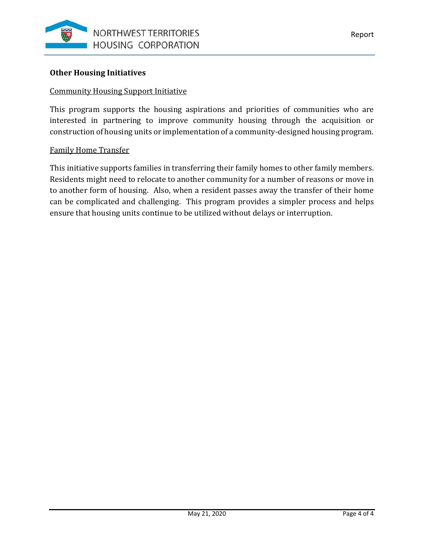

# **Other Housing Initiatives**

## Community Housing Support Initiative

This program supports the housing aspirations and priorities of communities who are interested in partnering to improve community housing through the acquisition or construction of housing units or implementation of a community-designed housing program.

## Family Home Transfer

This initiative supports families in transferring their family homes to other family members. Residents might need to relocate to another community for a number of reasons or move in to another form of housing. Also, when a resident passes away the transfer of their home can be complicated and challenging. This program provides a simpler process and helps ensure that housing units continue to be utilized without delays or interruption.